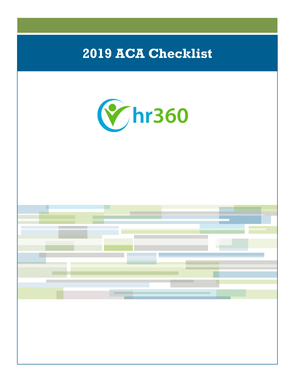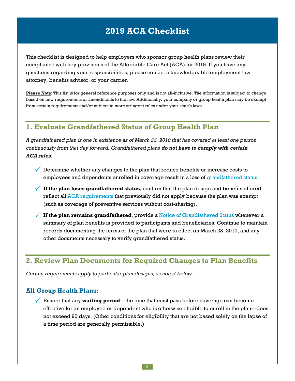This checklist is designed to help employers who sponsor group health plans review their compliance with key provisions of the Affordable Care Act (ACA) for 2019. If you have any questions regarding your responsibilities, please contact a knowledgeable employment law attorney, benefits advisor, or your carrier.

**Please Note**: This list is for general reference purposes only and is not all-inclusive. The information is subject to change based on new requirements or amendments to the law. Additionally, your company or group health plan may be exempt from certain requirements and/or subject to more stringent rules under your state's laws.

### **1. Evaluate Grandfathered Status of Group Health Plan**

A grandfathered plan is one in existence as of March 23, 2010 that has covered at least one person *continuously from that day forward. Grandfathered plans do not have to comply with certain ACA rules.*

- $\checkmark$  Determine whether any changes to the plan that reduce benefits or increase costs to employees and dependents enrolled in coverage result in a loss of [grandfathered](https://www.healthcare.gov/what-if-i-have-a-grandfathered-health-plan/#question=can-a-plan-lose-its-grandfathered-status) status.
- **If the plan loses grandfathered status**, confirm that the plan design and benefits offered reflect all ACA [requirements](https://www.healthcare.gov/what-if-i-have-a-grandfathered-health-plan/) that previously did not apply because the plan was exempt (such as coverage of preventive services without cost-sharing).
- **If the plan remains grandfathered**, provide <sup>a</sup> Notice of [Grandfathered](https://www.dol.gov/agencies/ebsa/laws-and-regulations/laws/affordable-care-act/for-employers-and-advisers/grandfathered-health-plans-model-notice.doc) Status whenever <sup>a</sup> summary of plan benefits is provided to participants and beneficiaries. Continue to maintain records documenting the terms of the plan that were in effect on March 23, 2010, and any other documents necessary to verify grandfathered status.

### **2. Review Plan Documents for Required Changes to Plan Benefits**

*Certain requirements apply to particular plan designs, as noted below.*

#### **All Group Health Plans:**

 Ensure that any **waiting period**—the time that must pass before coverage can become effective for an employee or dependent who is otherwise eligible to enroll in the plan—does not exceed 90 days. (Other conditions for eligibility that are not based solely on the lapse of a time period are generally permissible.)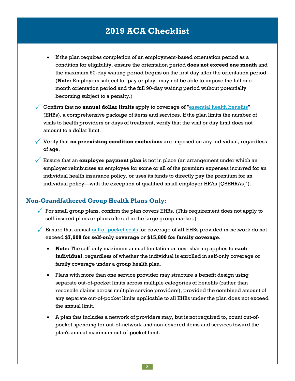- If the plan requires completion of an employment-based orientation period as a condition for eligibility, ensure the orientation period **does not exceed one month** and the maximum 90-day waiting period begins on the first day after the orientation period. (**Note:** Employers subject to "pay or play" may not be able to impose the full onemonth orientation period and the full 90-day waiting period without potentially becoming subject to a penalty.)
- Confirm that no **annual dollar limits** apply to coverage of "[essential](https://www.healthcare.gov/glossary/essential-health-benefits) health benefits" (EHBs), a comprehensive package of items and services. If the plan limits the number of visits to health providers or days of treatment, verify that the visit or day limit does not amount to a dollar limit.

 Verify that **no preexisting condition exclusions** are imposed on any individual, regardless of age.

 Ensure that an **employer payment plan** is not in place (an arrangement under which an employer reimburses an employee for some or all of the premium expenses incurred for an individual health insurance policy, or uses its funds to directly pay the premium for an individual policy—with the exception of qualified small employer HRAs [QSEHRAs]\* ).

#### **Non-Grandfathered Group Health Plans Only:**

For small group plans, confirm the plan covers EHBs. (This requirement does not apply to self-insured plans or plans offered in the large group market.)

 Ensure that annual [out-of-pocket](https://www.healthcare.gov/glossary/out-of-pocket-costs/) costs for coverage of **all** EHBs provided in-network do not exceed **\$7,900 for self-only coverage** or **\$15,800 for family coverage**.

- **Note:** The self-only maximum annual limitation on cost-sharing applies to **each individual**, regardless of whether the individual is enrolled in self-only coverage or family coverage under a group health plan.
- Plans with more than one service provider may structure a benefit design using separate out-of-pocket limits across multiple categories of benefits (rather than reconcile claims across multiple service providers), provided the combined amount of any separate out-of-pocket limits applicable to all EHBs under the plan does not exceed the annual limit.
- A plan that includes a network of providers may, but is not required to, count out-ofpocket spending for out-of-network and non-covered items and services toward the plan's annual maximum out-of-pocket limit.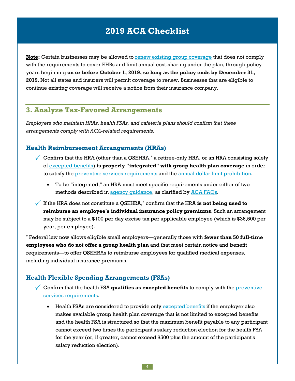**Note:** Certain businesses may be allowed to renew existing group [coverage](https://www.cms.gov/CCIIO/Resources/Regulations-and-Guidance/Downloads/Extension-Transitional-Policy-Through-CY2019.pdf) that does not comply with the requirements to cover EHBs and limit annual cost-sharing under the plan, through policy years beginning **on or before October 1, 2019, so long as the policy ends by December 31, 2019**. Not all states and insurers will permit coverage to renew. Businesses that are eligible to continue existing coverage will receive a notice from their insurance company.

### **3. Analyze Tax-Favored Arrangements**

*Employers who maintain HRAs, health FSAs, and cafeteria plans should confirm that these arrangements comply with ACA-related requirements.*

#### **Health Reimbursement Arrangements (HRAs)**

- Confirm that the HRA (other than a QSEHRA, $*$  a retiree-only HRA, or an HRA consisting solely of [excepted](http://webapps.dol.gov/elaws/ebsa/health/glossary.htm?wd=Excepted_Benefits) benefits) **is properly "integrated" with group health plan coverage** in order to satisfy the preventive services [requirements](https://www.healthcare.gov/what-are-my-preventive-care-benefits/) and the annual dollar limit [prohibition](http://www.cms.gov/CCIIO/Programs-and-Initiatives/Health-Insurance-Market-Reforms/Annual-Limits.html).
	- To be "integrated," an HRA must meet specific requirements under either of two methods described in agency [guidance](https://www.dol.gov/agencies/ebsa/employers-and-advisers/guidance/technical-releases/13-03), as clarified by ACA [FAQs.](https://www.dol.gov/sites/default/files/ebsa/about-ebsa/our-activities/resource-center/faqs/aca-part-37.pdf)
- If the HRA does not constitute <sup>a</sup> QSEHRA,\* confirm that the HRA **is not being used to reimburse an employee's individual insurance policy premiums**. Such an arrangement may be subject to a \$100 per day excise tax per applicable employee (which is \$36,500 per year, per employee).

\* Federal law now allows eligible small employers—generally those with **fewer than 50 full-time employees who do not offer a group health plan** and that meet certain notice and benefit requirements—to offer QSEHRAs to reimburse employees for qualified medical expenses, including individual insurance premiums.

### **Health Flexible Spending Arrangements (FSAs)**

- Confirm that the health FSA **qualifies as excepted benefits** to comply with the [preventive](https://www.healthcare.gov/coverage/preventive-care-benefits/) services [requirements](https://www.healthcare.gov/coverage/preventive-care-benefits/).
	- Health FSAs are considered to provide only [excepted](https://www.dol.gov/agencies/ebsa/employers-and-advisers/guidance/technical-releases/13-03) benefits if the employer also makes available group health plan coverage that is not limited to excepted benefits and the health FSA is structured so that the maximum benefit payable to any participant cannot exceed two times the participant's salary reduction election for the health FSA for the year (or, if greater, cannot exceed \$500 plus the amount of the participant's salary reduction election).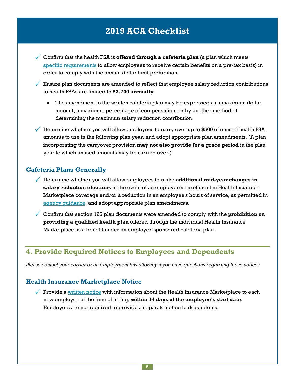- Confirm that the health FSA is **offered through <sup>a</sup> cafeteria plan** (a plan which meets specific [requirements](http://www.law.cornell.edu/uscode/text/26/125) to allow employees to receive certain benefits on a pre-tax basis) in order to comply with the annual dollar limit prohibition.
- $\sqrt{\phantom{a}}$  Ensure plan documents are amended to reflect that employee salary reduction contributions to health FSAs are limited to **\$2,700 annually**.
	- The amendment to the written cafeteria plan may be expressed as a maximum dollar amount, a maximum percentage of compensation, or by another method of determining the maximum salary reduction contribution.
- $\sqrt{ }$  Determine whether you will allow employees to carry over up to \$500 of unused health FSA amounts to use in the following plan year, and adopt appropriate plan amendments. (A plan incorporating the carryover provision **may not also provide for a grace period** in the plan year to which unused amounts may be carried over.)

#### **Cafeteria Plans Generally**

- Determine whether you will allow employees to make **additional mid-year changes in salary reduction elections** in the event of an employee's enrollment in Health Insurance Marketplace coverage and/or a reduction in an employee's hours of service, as permitted in agency quidance, and adopt appropriate plan amendments.
- Confirm that section <sup>125</sup> plan documents were amended to comply with the **prohibition on providing a qualified health plan** offered through the individual Health Insurance Marketplace as a benefit under an employer-sponsored cafeteria plan.

### **4. Provide Required Notices to Employees and Dependents**

*Please contact your carrier or an employment law attorney if you have questions regarding these notices.*

#### **Health Insurance Marketplace Notice**

Provide a [written](https://www.dol.gov/agencies/ebsa/laws-and-regulations/laws/affordable-care-act/for-employers-and-advisers/coverage-options-notice) notice with information about the Health Insurance Marketplace to each new employee at the time of hiring, **within 14 days of the employee's start date**. Employers are not required to provide a separate notice to dependents.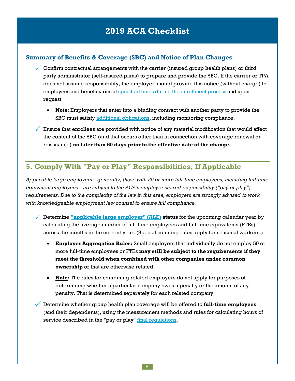#### **Summary of Benefits & Coverage (SBC) and Notice of Plan Changes**

- $\checkmark$  Confirm contractual arrangements with the carrier (insured group health plans) or third party administrator (self-insured plans) to prepare and provide the SBC. If the carrier or TPA does not assume responsibility, the employer should provide this notice (without charge) to employees and beneficiaries at specified times during the [enrollment](https://www.dol.gov/sites/default/files/ebsa/about-ebsa/our-activities/resource-center/faqs/aca-part-viii.pdf) process and upon request.
	- **Note**: Employers that enter into a binding contract with another party to provide the SBC must satisfy additional [obligations](http://www.cms.gov/CCIIO/Resources/Fact-Sheets-and-FAQs/Downloads/Fact-Sheet_SBCFinalRule-6-11-15-MM-508.pdf), including monitoring compliance.
- $\sqrt{\ }$  Ensure that enrollees are provided with notice of any material modification that would affect the content of the SBC (and that occurs other than in connection with coverage renewal or reissuance) **no later than 60 days prior to the effective date of the change**.

### **5. Comply With "Pay or Play" Responsibilities, If Applicable**

*Applicable large employers—generally, those with 50 or more full-time employees, including full-time equivalent employees—are subject to the ACA's employer shared responsibility ("pay or play") requirements. Due to the complexity of the law in this area, employers are strongly advised to work with knowledgeable employment law counsel to ensure full compliance.*

- Determine **["applicable](https://www.irs.gov/affordable-care-act/employers/determining-if-an-employer-is-an-applicable-large-employer) large employer" (ALE) status** for the upcoming calendar year by calculating the average number of full-time employees and full-time equivalents (FTEs) across the months in the current year. (Special counting rules apply for seasonal workers.)
	- **Employer Aggregation Rules:** Small employers that individually do not employ 50 or more full-time employees or FTEs **may still be subject to the requirements if they meet the threshold when combined with other companies under common ownership** or that are otherwise related.
	- **Note:** The rules for combining related employers do not apply for purposes of determining whether a particular company owes a penalty or the amount of any penalty. That is determined separately for each related company.
- Determine whether group health plan coverage will be offered to **full-time employees** (and their dependents), using the measurement methods and rules for calculating hours of service described in the "pay or play" final [regulations](http://www.gpo.gov/fdsys/pkg/FR-2014-02-12/pdf/2014-03082.pdf).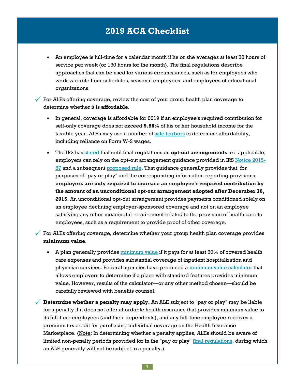An employee is full-time for a calendar month if he or she averages at least 30 hours of service per week (or 130 hours for the month). The final regulations describe approaches that can be used for various circumstances, such as for employees who work variable hour schedules, seasonal employees, and employees of educational organizations.

 $\checkmark$  For ALEs offering coverage, review the cost of your group health plan coverage to determine whether it is **affordable**.

- In general, coverage is affordable for 2019 if an employee's required contribution for self-only coverage does not exceed **9.86%** of his or her household income for the taxable year. ALEs may use a number of safe [harbors](https://www.irs.gov/affordable-care-act/employers/questions-and-answers-on-employer-shared-responsibility-provisions-under-the-affordable-care-act#Affordability) to determine affordability, including reliance on Form W-2 wages.
- The IRS has [stated](https://www.gpo.gov/fdsys/pkg/FR-2016-12-19/pdf/2016-30037.pdf) that until final regulations on **opt-out arrangements** are applicable, employers can rely on the opt-out arrangement guidance provided in IRS [Notice](https://www.irs.gov/pub/irs-drop/n-15-87.pdf) 2015- [87](https://www.irs.gov/pub/irs-drop/n-15-87.pdf) and a subsequent [proposed](https://www.gpo.gov/fdsys/pkg/FR-2016-07-08/pdf/2016-15940.pdf) rule. That guidance generally provides that, for purposes of "pay or play" and the corresponding information reporting provisions, **employers are only required to increase an employee's required contribution by the amount of an unconditional opt-out arrangement adopted after December 16, 2015**. An unconditional opt-out arrangement provides payments conditioned solely on an employee declining employer-sponsored coverage and not on an employee satisfying any other meaningful requirement related to the provision of health care to employees, such as a requirement to provide proof of other coverage.

For ALEs offering coverage, determine whether your group health plan coverage provides **minimum value**.

- A plan generally provides [minimum](https://www.healthcare.gov/glossary/minimum-value/) value if it pays for at least 60% of covered health care expenses and provides substantial coverage of inpatient hospitalization and physician services. Federal agencies have produced a minimum value [calculator](https://www.cms.gov/CCIIO/Resources/Regulations-and-Guidance/Downloads/mv-calculator-final-4-11-2013.xlsm) that allows employers to determine if a place with standard features provides minimum value. However, results of the calculator—or any other method chosen—should be carefully reviewed with benefits counsel.
- **Determine whether <sup>a</sup> penalty may apply.** An ALE subject to "pay or play" may be liable for a penalty if it does not offer affordable health insurance that provides minimum value to its full-time employees (and their dependents), and any full-time employee receives a premium tax credit for purchasing individual coverage on the Health Insurance Marketplace. (Note: In determining whether a penalty applies, ALEs should be aware of limited non-penalty periods provided for in the "pay or play" final [regulations](http://www.gpo.gov/fdsys/pkg/FR-2014-02-12/pdf/2014-03082.pdf), during which an ALE generally will not be subject to a penalty.)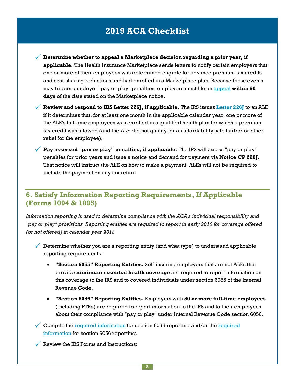**Determine whether to appeal <sup>a</sup> Marketplace decision regarding <sup>a</sup> prior year, if applicable.** The Health Insurance Marketplace sends letters to notify certain employers that one or more of their employees was determined eligible for advance premium tax credits and cost-sharing reductions and had enrolled in a Marketplace plan. Because these events may trigger employer "pay or play" penalties, employers must file an [appeal](https://www.healthcare.gov/marketplace-appeals/employer-appeals/) **within 90 days** of the date stated on the Marketplace notice.

 $\sqrt{\ }$  **Review and respond to IRS [Letter](https://www.irs.gov/individuals/understanding-your-letter-226-j) 226J, if applicable. The IRS issues Letter 226J to an ALE** if it determines that, for at least one month in the applicable calendar year, one or more of the ALE's full-time employees was enrolled in a qualified health plan for which a premium tax credit was allowed (and the ALE did not qualify for an affordability safe harbor or other relief for the employee).

 **Pay assessed "pay or play" penalties, if applicable.** The IRS will assess "pay or play" penalties for prior years and issue a notice and demand for payment via **Notice CP 220J**. That notice will instruct the ALE on how to make a payment. ALEs will not be required to include the payment on any tax return.

### **6. Satisfy Information Reporting Requirements, If Applicable (Forms 1094 & 1095)**

*Information reporting is used to determine compliance with the ACA's individual responsibility and "pay or play" provisions. Reporting entities are required to report in early 2019 for coverage offered (or not offered) in calendar year 2018.*

- $\sqrt{\phantom{a}}$  Determine whether you are a reporting entity (and what type) to understand applicable reporting requirements:
	- **"Section 6055" Reporting Entities.** Self-insuring employers that are not ALEs that provide **minimum essential health coverage** are required to report information on this coverage to the IRS and to covered individuals under section 6055 of the Internal Revenue Code.
	- **"Section 6056" Reporting Entities.** Employers with **50 or more full-time employees** (including FTEs) are required to report information to the IRS and to their employees about their compliance with "pay or play" under Internal Revenue Code section 6056.
- Compile the required [information](http://www.irs.gov/uac/Questions-and-Answers-on-Information-Reporting-by-Health-Coverage-Providers-Section-6055#What%20Information%20Must%20Providers%20Report) for section 6055 reporting and/or the [required](http://www.irs.gov/uac/Questions-and-Answers-on-Reporting-of-Offers-of-Health-Insurance-Coverage-by-Employers-Section-6056#What%20Information%20Must%20ALE%20Members%20Report) [information](http://www.irs.gov/uac/Questions-and-Answers-on-Reporting-of-Offers-of-Health-Insurance-Coverage-by-Employers-Section-6056#What%20Information%20Must%20ALE%20Members%20Report) for section 6056 reporting.
- $\sqrt{\ }$  Review the IRS Forms and Instructions: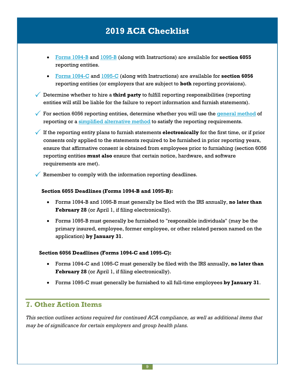- Forms [1094-B](http://www.irs.gov/uac/About-Form-1094-B) and [1095-B](http://www.irs.gov/uac/About-Form-1095-B) (along with Instructions) are available for **section 6055** reporting entities.
- Forms [1094-C](http://www.irs.gov/uac/About-Form-1094-C) and [1095-C](http://www.irs.gov/uac/About-Form-1095-C) (along with Instructions) are available for **section 6056** reporting entities (or employers that are subject to **both** reporting provisions).
- $\sqrt{\ }$  Determine whether to hire a **third party** to fulfill reporting responsibilities (reporting entities will still be liable for the failure to report information and furnish statements).
- $\checkmark$  For section 6056 reporting entities, determine whether you will use the [general](http://www.irs.gov/uac/Questions-and-Answers-on-Reporting-of-Offers-of-Health-Insurance-Coverage-by-Employers-Section-6056#Methods%20of%20Reporting) method of reporting or a simplified [alternative](http://www.irs.gov/uac/Questions-and-Answers-on-Reporting-of-Offers-of-Health-Insurance-Coverage-by-Employers-Section-6056#Methods%20of%20Reporting) method to satisfy the reporting requirements.
- If the reporting entity plans to furnish statements **electronically** for the first time, or if prior consents only applied to the statements required to be furnished in prior reporting years, ensure that affirmative consent is obtained from employees prior to furnishing (section 6056 reporting entities **must also** ensure that certain notice, hardware, and software requirements are met).
	- Remember to comply with the information reporting deadlines.

#### **Section 6055 Deadlines (Forms 1094-B and 1095-B):**

- Forms 1094-B and 1095-B must generally be filed with the IRS annually, **no later than February 28** (or April 1, if filing electronically).
- Forms 1095-B must generally be furnished to "responsible individuals" (may be the primary insured, employee, former employee, or other related person named on the application) **by January 31**.

#### **Section 6056 Deadlines (Forms 1094-C and 1095-C):**

- Forms 1094-C and 1095-C must generally be filed with the IRS annually, **no later than February 28** (or April 1, if filing electronically).
- Forms 1095-C must generally be furnished to all full-time employees **by January 31**.

### **7. Other Action Items**

*This section outlines actions required for continued ACA compliance, as well as additional items that may be of significance for certain employers and group health plans.*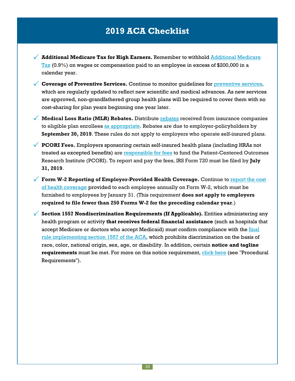- **Additional Medicare Tax for High Earners.** Remember to withhold [Additional](http://www.irs.gov/Businesses/Small-Businesses-&-Self-Employed/Questions-and-Answers-for-the-Additional-Medicare-Tax) Medicare [Tax](http://www.irs.gov/Businesses/Small-Businesses-&-Self-Employed/Questions-and-Answers-for-the-Additional-Medicare-Tax) (0.9%) on wages or compensation paid to an employee in excess of \$200,000 in a calendar year.
- **Coverage of Preventive Services.** Continue to monitor guidelines for [preventive](https://www.healthcare.gov/what-are-my-preventive-care-benefits/) services, which are regularly updated to reflect new scientific and medical advances. As new services are approved, non-grandfathered group health plans will be required to cover them with no cost-sharing for plan years beginning one year later.
- **Medical Loss Ratio (MLR) Rebates.** Distribute [rebates](http://www.cms.gov/CCIIO/Programs-and-Initiatives/Health-Insurance-Market-Reforms/Medical-Loss-Ratio.html) received from insurance companies to eligible plan enrollees as [appropriate.](https://www.dol.gov/agencies/ebsa/employers-and-advisers/guidance/technical-releases/11-04) Rebates are due to employer-policyholders by **September 30, 2019**. These rules do not apply to employers who operate self-insured plans.
- **PCORI Fees.** Employers sponsoring certain self-insured health plans (including HRAs not treated as excepted benefits) are [responsible](http://www.irs.gov/uac/Newsroom/Patient-Centered-Outcomes-Research-Institute-Fee) for fees to fund the Patient-Centered Outcomes Research Institute (PCORI). To report and pay the fees, IRS Form 720 must be filed by **July 31, 2019**.
- **Form W-2 Reporting of Employer-Provided Health Coverage.** Continue to [report](http://www.irs.gov/uac/Form-W-2-Reporting-of-Employer-Sponsored-Health-Coverage) the cost of health [coverage](http://www.irs.gov/uac/Form-W-2-Reporting-of-Employer-Sponsored-Health-Coverage) provided to each employee annually on Form W-2, which must be furnished to employees by January 31. (This requirement **does not apply to employers required to file fewer than 250 Forms W-2 for the preceding calendar year**.)
- **Section <sup>1557</sup> Nondiscrimination Requirements (If Applicable).** Entities administering any health program or activity **that receives federal financial assistance** (such as hospitals that accept Medicare or doctors who accept Medicaid) must confirm compliance with the [final](http://www.hhs.gov/sites/default/files/2016-06-07-section-1557-final-rule-summary-508.pdf) rule [implementing](http://www.hhs.gov/sites/default/files/2016-06-07-section-1557-final-rule-summary-508.pdf) section 1557 of the ACA, which prohibits discrimination on the basis of race, color, national origin, sex, age, or disability. In addition, certain **notice and tagline requirements** must be met. For more on this notice requirement, [click](http://www.hhs.gov/sites/default/files/2016-06-07-section-1557-final-rule-summary-508.pdf) here (see "Procedural Requirements").